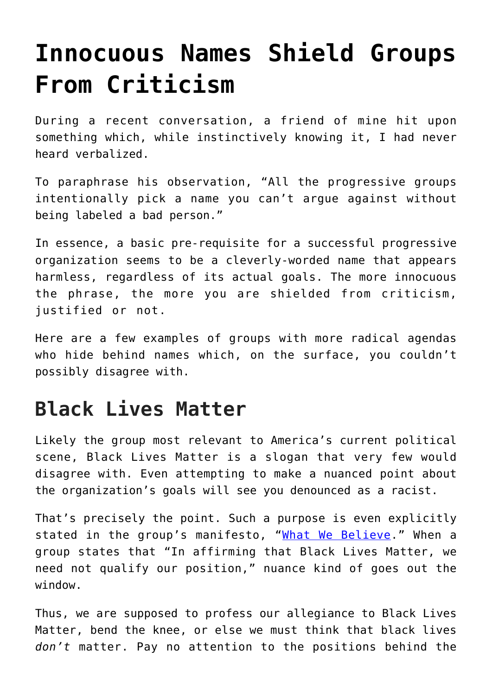# **[Innocuous Names Shield Groups](https://intellectualtakeout.org/2020/07/innocuous-names-shield-groups-from-criticism/) [From Criticism](https://intellectualtakeout.org/2020/07/innocuous-names-shield-groups-from-criticism/)**

During a recent conversation, a friend of mine hit upon something which, while instinctively knowing it, I had never heard verbalized.

To paraphrase his observation, "All the progressive groups intentionally pick a name you can't argue against without being labeled a bad person."

In essence, a basic pre-requisite for a successful progressive organization seems to be a cleverly-worded name that appears harmless, regardless of its actual goals. The more innocuous the phrase, the more you are shielded from criticism, justified or not.

Here are a few examples of groups with more radical agendas who hide behind names which, on the surface, you couldn't possibly disagree with.

### **Black Lives Matter**

Likely the group most relevant to America's current political scene, Black Lives Matter is a slogan that very few would disagree with. Even attempting to make a nuanced point about the organization's goals will see you denounced as a racist.

That's precisely the point. Such a purpose is even explicitly stated in the group's manifesto, "[What We Believe](https://blacklivesmatter.com/what-we-believe/)." When a group states that "In affirming that Black Lives Matter, we need not qualify our position," nuance kind of goes out the window.

Thus, we are supposed to profess our allegiance to Black Lives Matter, bend the knee, or else we must think that black lives *don't* matter. Pay no attention to the positions behind the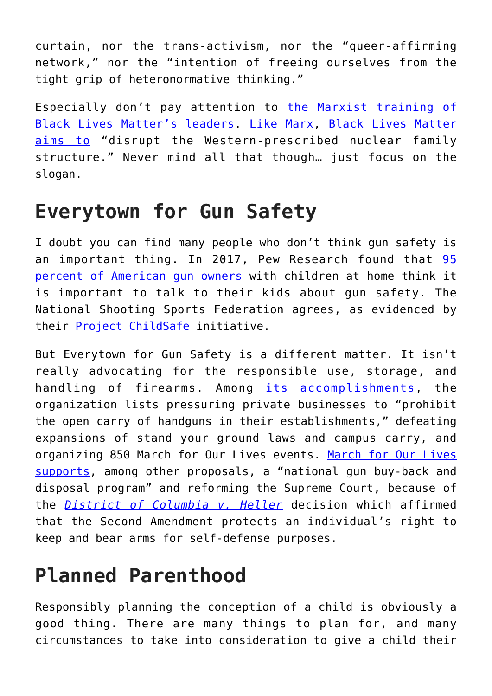curtain, nor the trans-activism, nor the "queer-affirming network," nor the "intention of freeing ourselves from the tight grip of heteronormative thinking."

Especially don't pay attention to [the Marxist training of](https://www.intellectualtakeout.org/behind-the-masks-marxism-and-black-lives-matter/) [Black Lives Matter's leaders.](https://www.intellectualtakeout.org/behind-the-masks-marxism-and-black-lives-matter/) [Like Marx,](https://mises.org/wire/why-do-socialists-hate-families) [Black Lives Matter](https://blacklivesmatter.com/what-we-believe/) [aims to](https://blacklivesmatter.com/what-we-believe/) "disrupt the Western-prescribed nuclear family structure." Never mind all that though… just focus on the slogan.

### **Everytown for Gun Safety**

I doubt you can find many people who don't think gun safety is an important thing. In 2017, Pew Research found that [95](https://www.pewsocialtrends.org/2017/06/22/views-of-gun-safety-and-the-key-responsibilities-of-gun-owners/) [percent of American gun owners](https://www.pewsocialtrends.org/2017/06/22/views-of-gun-safety-and-the-key-responsibilities-of-gun-owners/) with children at home think it is important to talk to their kids about gun safety. The National Shooting Sports Federation agrees, as evidenced by their [Project ChildSafe](https://projectchildsafe.org/parents-and-gun-owners) initiative.

But Everytown for Gun Safety is a different matter. It isn't really advocating for the responsible use, storage, and handling of firearms. Among [its accomplishments,](https://everytown.org/who-we-are/) the organization lists pressuring private businesses to "prohibit the open carry of handguns in their establishments," defeating expansions of stand your ground laws and campus carry, and organizing 850 [March for Our Lives](https://marchforourlives.com/peace-plan/) events. March for Our Lives [supports,](https://marchforourlives.com/peace-plan/) among other proposals, a "national gun buy-back and disposal program" and reforming the Supreme Court, because of the *[District of Columbia](https://en.wikipedia.org/wiki/District_of_Columbia_v._Heller) [v.](https://en.wikipedia.org/wiki/District_of_Columbia_v._Heller) [Heller](https://en.wikipedia.org/wiki/District_of_Columbia_v._Heller)* decision which affirmed that the Second Amendment protects an individual's right to keep and bear arms for self-defense purposes.

### **Planned Parenthood**

Responsibly planning the conception of a child is obviously a good thing. There are many things to plan for, and many circumstances to take into consideration to give a child their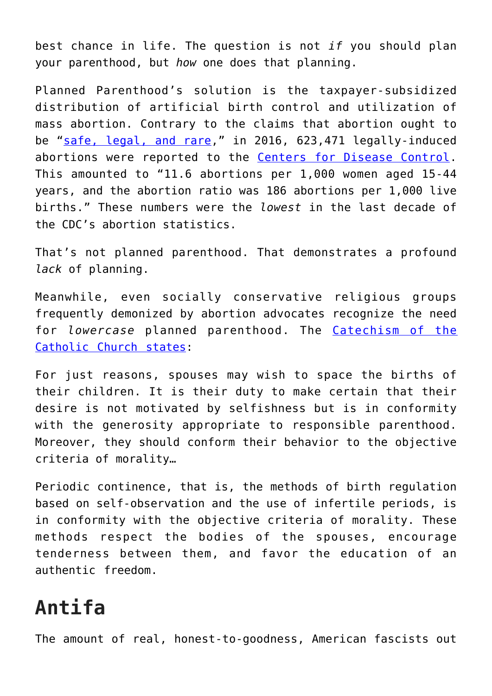best chance in life. The question is not *if* you should plan your parenthood, but *how* one does that planning.

Planned Parenthood's solution is the taxpayer-subsidized distribution of artificial birth control and utilization of mass abortion. Contrary to the claims that abortion ought to be "[safe, legal, and rare,](https://www.theatlantic.com/ideas/archive/2019/12/the-brilliance-of-safe-legal-and-rare/603151/)" in 2016, 623,471 legally-induced abortions were reported to the [Centers for Disease Control.](https://www.cdc.gov/reproductivehealth/data_stats/index.htm) This amounted to "11.6 abortions per 1,000 women aged 15-44 years, and the abortion ratio was 186 abortions per 1,000 live births." These numbers were the *lowest* in the last decade of the CDC's abortion statistics.

That's not planned parenthood. That demonstrates a profound *lack* of planning.

Meanwhile, even socially conservative religious groups frequently demonized by abortion advocates recognize the need for *lowercase* planned parenthood. The [Catechism of the](https://www.vatican.va/archive/ccc_css/archive/catechism/p3s2c2a6.htm) [Catholic Church states](https://www.vatican.va/archive/ccc_css/archive/catechism/p3s2c2a6.htm):

For just reasons, spouses may wish to space the births of their children. It is their duty to make certain that their desire is not motivated by selfishness but is in conformity with the generosity appropriate to responsible parenthood. Moreover, they should conform their behavior to the objective criteria of morality…

Periodic continence, that is, the methods of birth regulation based on self-observation and the use of infertile periods, is in conformity with the objective criteria of morality. These methods respect the bodies of the spouses, encourage tenderness between them, and favor the education of an authentic freedom.

## **Antifa**

The amount of real, honest-to-goodness, American fascists out